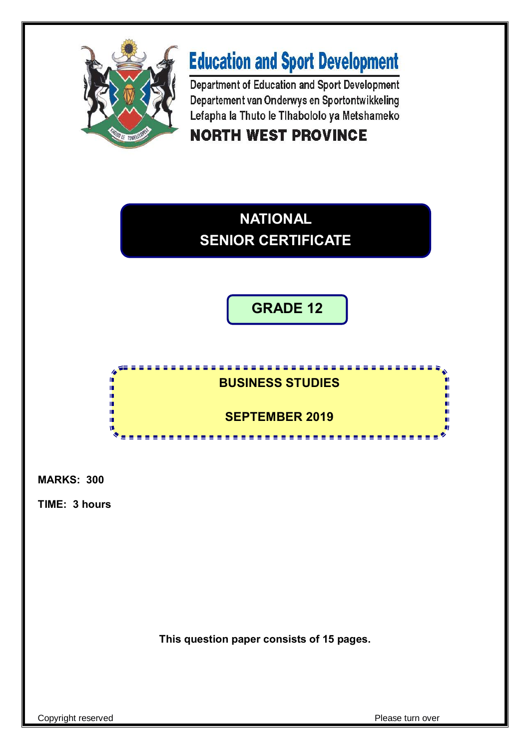

# **Education and Sport Development**

Department of Education and Sport Development Departement van Onderwys en Sportontwikkeling Lefapha la Thuto le Tihabololo ya Metshameko **NORTH WEST PROVINCE** 



**GRADE 12**

**BUSINESS STUDIES** ú Ĩ, п пı ú **SEPTEMBER 2019**ú ١ū <u>..................</u>

**MARKS: 300**

**TIME: 3 hours**

**This question paper consists of 15 pages.**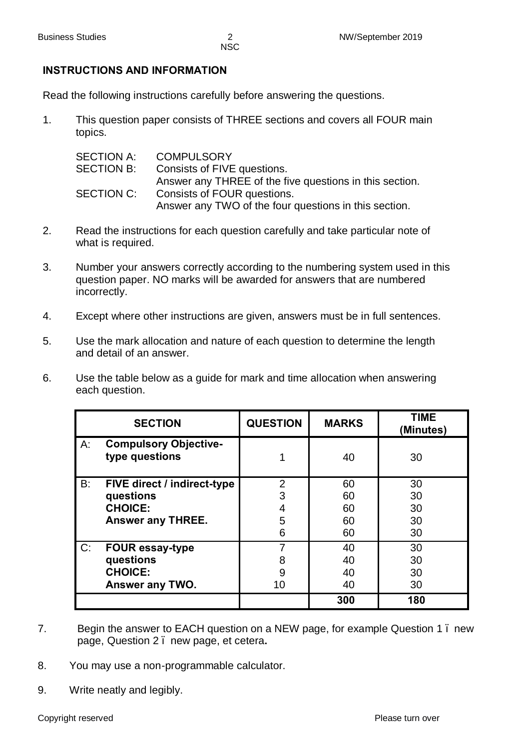## **INSTRUCTIONS AND INFORMATION**

Read the following instructions carefully before answering the questions.

1. This question paper consists of THREE sections and covers all FOUR main topics.

| SECTION A:        | <b>COMPULSORY</b>                                       |
|-------------------|---------------------------------------------------------|
| <b>SECTION B:</b> | Consists of FIVE questions.                             |
|                   | Answer any THREE of the five questions in this section. |
| SECTION C:        | Consists of FOUR questions.                             |
|                   | Answer any TWO of the four questions in this section.   |

- 2. Read the instructions for each question carefully and take particular note of what is required.
- 3. Number your answers correctly according to the numbering system used in this question paper. NO marks will be awarded for answers that are numbered incorrectly.
- 4. Except where other instructions are given, answers must be in full sentences.
- 5. Use the mark allocation and nature of each question to determine the length and detail of an answer.
- 6. Use the table below as a guide for mark and time allocation when answering each question.

| <b>SECTION</b>                                       | <b>QUESTION</b> | <b>MARKS</b> | <b>TIME</b><br>(Minutes) |
|------------------------------------------------------|-----------------|--------------|--------------------------|
| A:<br><b>Compulsory Objective-</b><br>type questions |                 | 40           | 30                       |
| B:<br><b>FIVE direct / indirect-type</b>             | $\overline{2}$  | 60           | 30                       |
| questions                                            | 3               | 60           | 30                       |
| <b>CHOICE:</b>                                       |                 | 60           | 30                       |
| Answer any THREE.                                    | 5               | 60           | 30                       |
|                                                      | 6               | 60           | 30                       |
| $C$ :<br><b>FOUR essay-type</b>                      |                 | 40           | 30                       |
| questions                                            | 8               | 40           | 30                       |
| <b>CHOICE:</b>                                       | 9               | 40           | 30                       |
| Answer any TWO.                                      | 10              | 40           | 30                       |
|                                                      |                 | 300          | 180                      |

- 7. Begin the answer to EACH question on a NEW page, for example Question 1 new page, Question 2 – new page, et cetera**.**
- 8. You may use a non-programmable calculator.
- 9. Write neatly and legibly.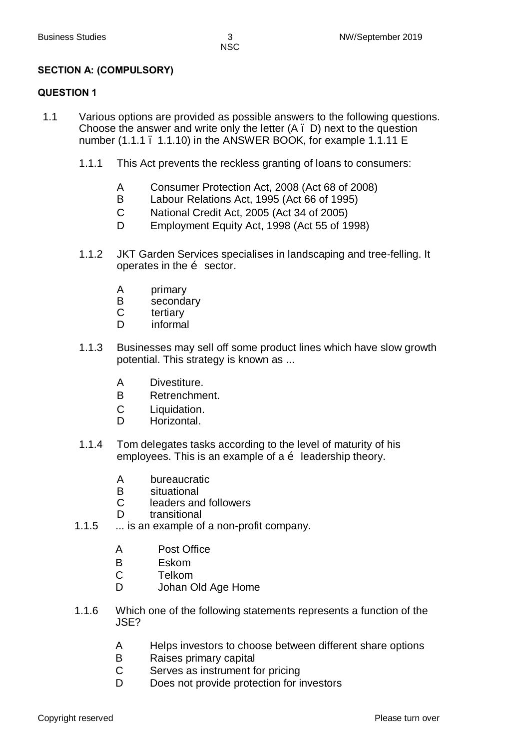#### **SECTION A: (COMPULSORY)**

#### **QUESTION 1**

- 1.1 Various options are provided as possible answers to the following questions. Choose the answer and write only the letter (A – D) next to the question number (1.1.1 . 1.1.10) in the ANSWER BOOK, for example 1.1.11 E
	- 1.1.1 This Act prevents the reckless granting of loans to consumers:
		- A Consumer Protection Act, 2008 (Act 68 of 2008)
		- B Labour Relations Act, 1995 (Act 66 of 1995)
		- C National Credit Act, 2005 (Act 34 of 2005)
		- D Employment Equity Act, 1998 (Act 55 of 1998)
	- 1.1.2 JKT Garden Services specialises in landscaping and tree-felling. It operates in the  $\ddot{\text{o}}$  sector.
		- A primary
		- B secondary<br>C tertiary
		- tertiary
		- D informal
	- 1.1.3 Businesses may sell off some product lines which have slow growth potential. This strategy is known as ...
		- A Divestiture.
		- B Retrenchment.
		- C Liquidation.
		- D Horizontal.
	- 1.1.4 Tom delegates tasks according to the level of maturity of his employees. This is an example of a  $\ddot{\text{o}}$  leadership theory.
		- A bureaucratic
		- B situational<br>C leaders and
		- leaders and followers
		- D transitional
	- 1.1.5 ... is an example of a non-profit company.
		- A Post Office
		- B Eskom
		- C Telkom
		- D Johan Old Age Home
	- 1.1.6 Which one of the following statements represents a function of the JSE?
		- A Helps investors to choose between different share options
		- B Raises primary capital
		- C Serves as instrument for pricing
		- D Does not provide protection for investors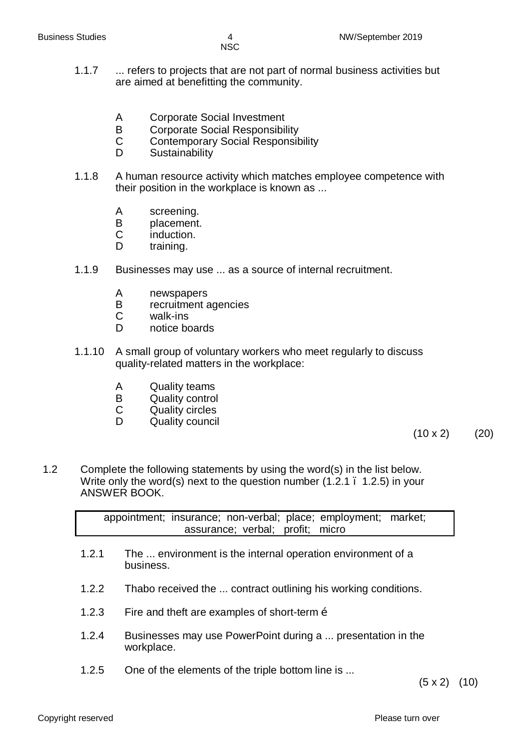- 1.1.7 ... refers to projects that are not part of normal business activities but are aimed at benefitting the community.
	- A Corporate Social Investment
	- B Corporate Social Responsibility
	- C Contemporary Social Responsibility
	- D Sustainability
- 1.1.8 A human resource activity which matches employee competence with their position in the workplace is known as ...
	- A screening.
	- B placement.<br>C induction.
	- induction.
	- D training.
- 1.1.9 Businesses may use ... as a source of internal recruitment.
	- A newspapers<br>B recruitment a
	- B recruitment agencies<br>C walk-ins
	- walk-ins
	- D notice boards
- 1.1.10 A small group of voluntary workers who meet regularly to discuss quality-related matters in the workplace:
	- A Quality teams
	- B Quality control
	- C Quality circles
	- D Quality council

 $(10 \times 2)$  (20)

1.2 Complete the following statements by using the word(s) in the list below. Write only the word(s) next to the question number (1.2.1 – 1.2.5) in your ANSWER BOOK.

> appointment; insurance; non-verbal; place; employment; market; assurance; verbal; profit; micro

- 1.2.1 The ... environment is the internal operation environment of a business.
- 1.2.2 Thabo received the ... contract outlining his working conditions.
- 1.2.3 Fire and theft are examples of short-term  $\ddot{\text{o}}$
- 1.2.4 Businesses may use PowerPoint during a ... presentation in the workplace.
- 1.2.5 One of the elements of the triple bottom line is ...

 $(5 \times 2)$   $(10)$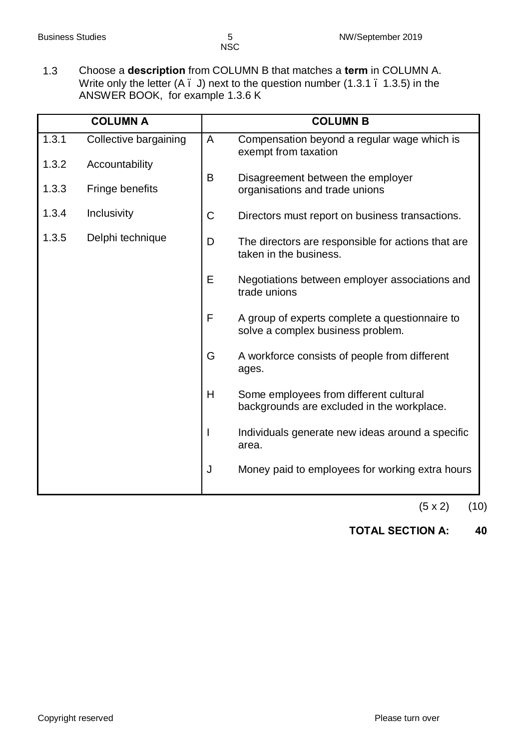1.3 Choose a **description** from COLUMN B that matches a **term** in COLUMN A. Write only the letter (A . J) next to the question number (1.3.1 . 1.3.5) in the ANSWER BOOK, for example 1.3.6 K

| <b>COLUMN A</b> |                       |             | <b>COLUMN B</b>                                                                      |
|-----------------|-----------------------|-------------|--------------------------------------------------------------------------------------|
| 1.3.1           | Collective bargaining | A           | Compensation beyond a regular wage which is<br>exempt from taxation                  |
| 1.3.2           | Accountability        |             |                                                                                      |
| 1.3.3           | Fringe benefits       | B           | Disagreement between the employer<br>organisations and trade unions                  |
| 1.3.4           | Inclusivity           | $\mathsf C$ | Directors must report on business transactions.                                      |
| 1.3.5           | Delphi technique      | D           | The directors are responsible for actions that are<br>taken in the business.         |
|                 |                       | E           | Negotiations between employer associations and<br>trade unions                       |
|                 |                       | F           | A group of experts complete a questionnaire to<br>solve a complex business problem.  |
|                 |                       | G           | A workforce consists of people from different<br>ages.                               |
|                 |                       | H           | Some employees from different cultural<br>backgrounds are excluded in the workplace. |
|                 |                       | I           | Individuals generate new ideas around a specific<br>area.                            |
|                 |                       | J           | Money paid to employees for working extra hours                                      |

 $(5 x 2)$   $(10)$ 

## **TOTAL SECTION A: 40**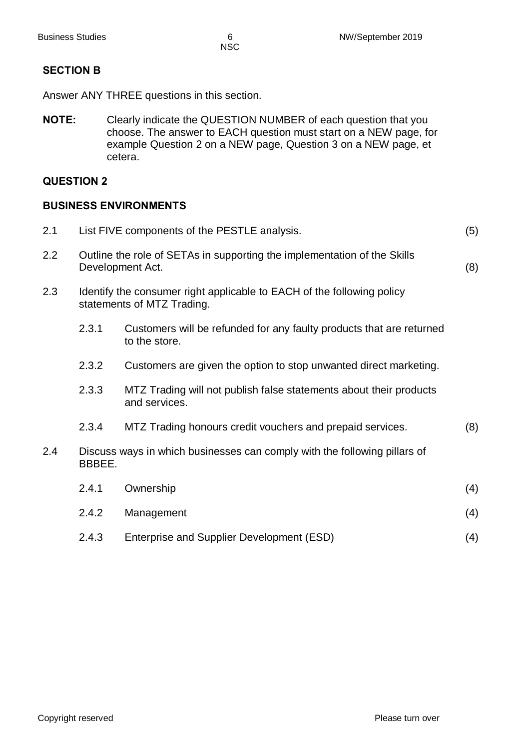#### **SECTION B**

Answer ANY THREE questions in this section.

**NOTE:** Clearly indicate the QUESTION NUMBER of each question that you choose. The answer to EACH question must start on a NEW page, for example Question 2 on a NEW page, Question 3 on a NEW page, et cetera.

#### **QUESTION 2**

#### **BUSINESS ENVIRONMENTS**

| 2.1 |                                                                                                     | List FIVE components of the PESTLE analysis.<br>(5)                                                  |     |  |
|-----|-----------------------------------------------------------------------------------------------------|------------------------------------------------------------------------------------------------------|-----|--|
| 2.2 | Outline the role of SETAs in supporting the implementation of the Skills<br>(8)<br>Development Act. |                                                                                                      |     |  |
| 2.3 |                                                                                                     | Identify the consumer right applicable to EACH of the following policy<br>statements of MTZ Trading. |     |  |
|     | 2.3.1                                                                                               | Customers will be refunded for any faulty products that are returned<br>to the store.                |     |  |
|     | 2.3.2                                                                                               | Customers are given the option to stop unwanted direct marketing.                                    |     |  |
|     | 2.3.3                                                                                               | MTZ Trading will not publish false statements about their products<br>and services.                  |     |  |
|     | 2.3.4                                                                                               | MTZ Trading honours credit vouchers and prepaid services.                                            | (8) |  |
| 2.4 | BBBEE.                                                                                              | Discuss ways in which businesses can comply with the following pillars of                            |     |  |
|     | 2.4.1                                                                                               | Ownership                                                                                            | (4) |  |
|     | 2.4.2                                                                                               | Management                                                                                           | (4) |  |
|     | 2.4.3                                                                                               | Enterprise and Supplier Development (ESD)                                                            | (4) |  |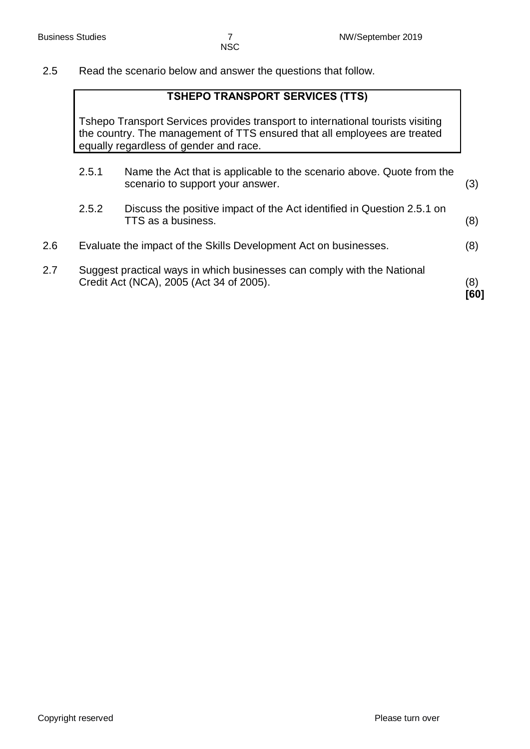2.5 Read the scenario below and answer the questions that follow.

## **TSHEPO TRANSPORT SERVICES (TTS)**

Tshepo Transport Services provides transport to international tourists visiting the country. The management of TTS ensured that all employees are treated equally regardless of gender and race.

|     |       | Credit Act (NCA), 2005 (Act 34 of 2005).                                                                  | (8)<br>[60] |
|-----|-------|-----------------------------------------------------------------------------------------------------------|-------------|
| 2.7 |       | Suggest practical ways in which businesses can comply with the National                                   |             |
| 2.6 |       | Evaluate the impact of the Skills Development Act on businesses.                                          | (8)         |
|     | 2.5.2 | Discuss the positive impact of the Act identified in Question 2.5.1 on<br>TTS as a business.              | (8)         |
|     | 2.5.1 | Name the Act that is applicable to the scenario above. Quote from the<br>scenario to support your answer. | (3)         |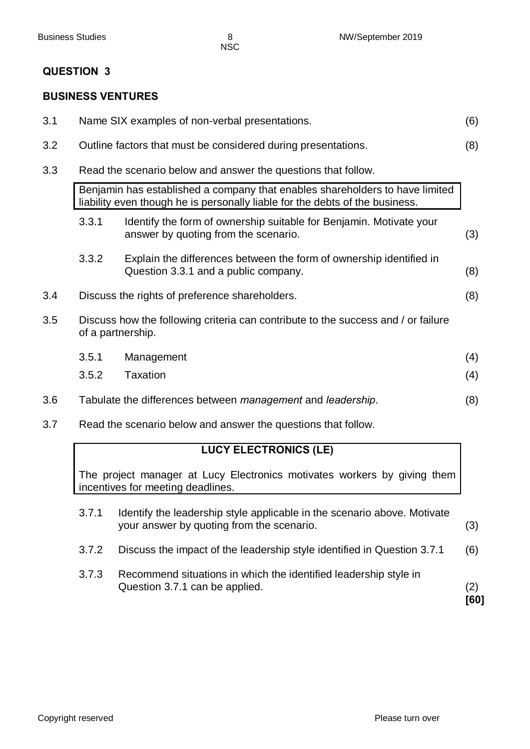#### **BUSINESS VENTURES**

| 3.1 | Name SIX examples of non-verbal presentations.<br>(6)         |                                                                                                                                                              |     |
|-----|---------------------------------------------------------------|--------------------------------------------------------------------------------------------------------------------------------------------------------------|-----|
| 3.2 |                                                               | Outline factors that must be considered during presentations.                                                                                                | (8) |
| 3.3 |                                                               | Read the scenario below and answer the questions that follow.                                                                                                |     |
|     |                                                               | Benjamin has established a company that enables shareholders to have limited<br>liability even though he is personally liable for the debts of the business. |     |
|     | 3.3.1                                                         | Identify the form of ownership suitable for Benjamin. Motivate your<br>answer by quoting from the scenario.                                                  | (3) |
|     | 3.3.2                                                         | Explain the differences between the form of ownership identified in<br>Question 3.3.1 and a public company.                                                  | (8) |
| 3.4 |                                                               | Discuss the rights of preference shareholders.                                                                                                               | (8) |
| 3.5 | of a partnership.                                             | Discuss how the following criteria can contribute to the success and / or failure                                                                            |     |
|     | 3.5.1                                                         | Management                                                                                                                                                   | (4) |
|     | 3.5.2                                                         | <b>Taxation</b>                                                                                                                                              | (4) |
| 3.6 |                                                               | Tabulate the differences between management and leadership.                                                                                                  | (8) |
| 3.7 | Read the scenario below and answer the questions that follow. |                                                                                                                                                              |     |

## **LUCY ELECTRONICS (LE)**

The project manager at Lucy Electronics motivates workers by giving them incentives for meeting deadlines.

| 3.7.1 | Identify the leadership style applicable in the scenario above. Motivate<br>your answer by quoting from the scenario. | (3) |
|-------|-----------------------------------------------------------------------------------------------------------------------|-----|
| 3.7.2 | Discuss the impact of the leadership style identified in Question 3.7.1                                               | (6) |

3.7.3 Recommend situations in which the identified leadership style in Question 3.7.1 can be applied. (2)

**[60]**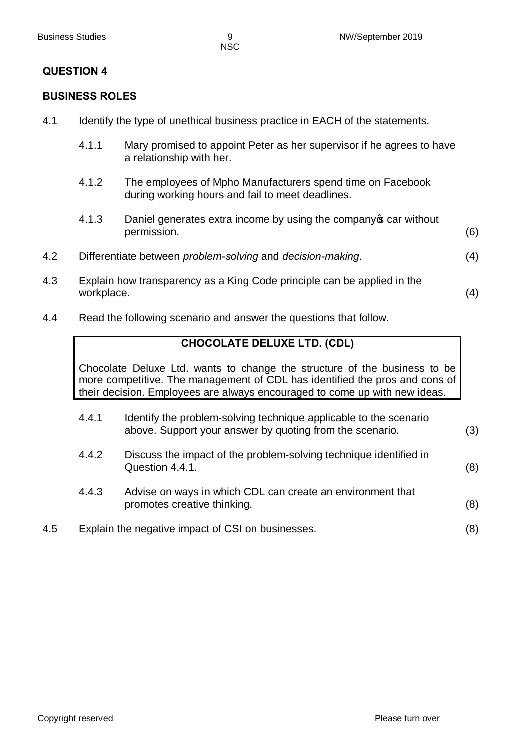#### **BUSINESS ROLES**

- 4.1 Identify the type of unethical business practice in EACH of the statements.
	- 4.1.1 Mary promised to appoint Peter as her supervisor if he agrees to have a relationship with her.
	- 4.1.2 The employees of Mpho Manufacturers spend time on Facebook during working hours and fail to meet deadlines.
	- 4.1.3 Daniel generates extra income by using the company of car without permission. (6)
- 4.2 Differentiate between *problem-solving* and *decision-making*. (4)
- 4.3 Explain how transparency as a King Code principle can be applied in the workplace. (4)
- 4.4 Read the following scenario and answer the questions that follow.

#### **CHOCOLATE DELUXE LTD. (CDL)**

Chocolate Deluxe Ltd. wants to change the structure of the business to be more competitive. The management of CDL has identified the pros and cons of their decision. Employees are always encouraged to come up with new ideas.

|     | 4.4.1 | Identify the problem-solving technique applicable to the scenario<br>above. Support your answer by quoting from the scenario. | (3) |
|-----|-------|-------------------------------------------------------------------------------------------------------------------------------|-----|
|     | 4.4.2 | Discuss the impact of the problem-solving technique identified in<br>Question 4.4.1.                                          | (8) |
|     | 4.4.3 | Advise on ways in which CDL can create an environment that<br>promotes creative thinking.                                     | (8) |
| 4.5 |       | Explain the negative impact of CSI on businesses.                                                                             | (8) |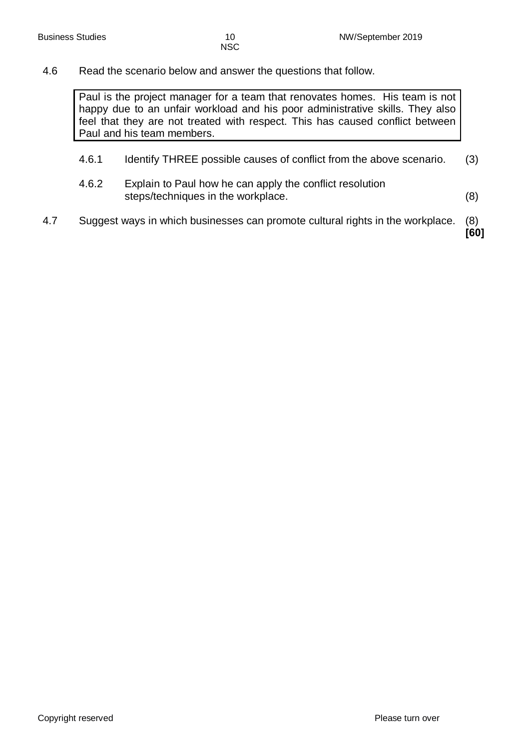#### 4.6 Read the scenario below and answer the questions that follow.

Paul is the project manager for a team that renovates homes. His team is not happy due to an unfair workload and his poor administrative skills. They also feel that they are not treated with respect. This has caused conflict between Paul and his team members.

- 4.6.1 Identify THREE possible causes of conflict from the above scenario. (3)
- 4.6.2 Explain to Paul how he can apply the conflict resolution steps/techniques in the workplace. (8)
- 4.7 Suggest ways in which businesses can promote cultural rights in the workplace. (8)

**[60]**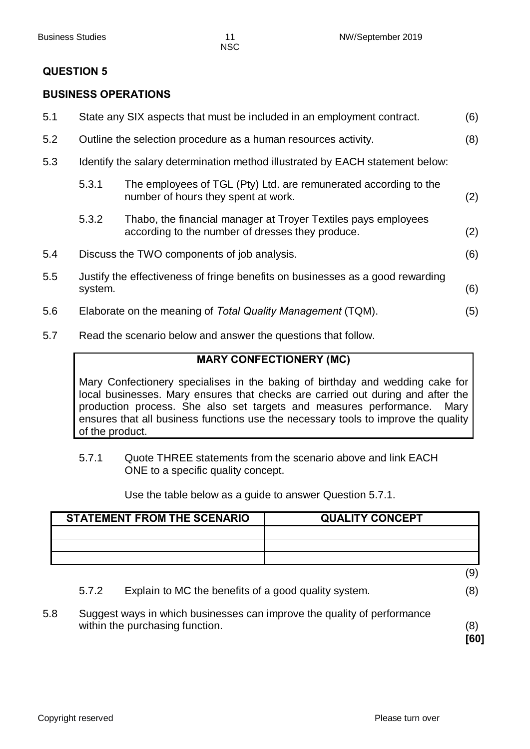#### **BUSINESS OPERATIONS**

| 5.1 |                                                                       | State any SIX aspects that must be included in an employment contract.                                             | (6) |
|-----|-----------------------------------------------------------------------|--------------------------------------------------------------------------------------------------------------------|-----|
| 5.2 | (8)<br>Outline the selection procedure as a human resources activity. |                                                                                                                    |     |
| 5.3 |                                                                       | Identify the salary determination method illustrated by EACH statement below:                                      |     |
|     | 5.3.1                                                                 | The employees of TGL (Pty) Ltd. are remunerated according to the<br>number of hours they spent at work.            | (2) |
|     | 5.3.2                                                                 | Thabo, the financial manager at Troyer Textiles pays employees<br>according to the number of dresses they produce. | (2) |
| 5.4 |                                                                       | Discuss the TWO components of job analysis.                                                                        | (6) |
| 5.5 | system.                                                               | Justify the effectiveness of fringe benefits on businesses as a good rewarding                                     | (6) |
| 5.6 |                                                                       | Elaborate on the meaning of Total Quality Management (TQM).                                                        | (5) |
|     |                                                                       |                                                                                                                    |     |

5.7 Read the scenario below and answer the questions that follow.

## **MARY CONFECTIONERY (MC)**

Mary Confectionery specialises in the baking of birthday and wedding cake for local businesses. Mary ensures that checks are carried out during and after the production process. She also set targets and measures performance. Mary ensures that all business functions use the necessary tools to improve the quality of the product.

5.7.1 Quote THREE statements from the scenario above and link EACH ONE to a specific quality concept.

Use the table below as a guide to answer Question 5.7.1.

|     |       | <b>STATEMENT FROM THE SCENARIO</b>                   | <b>QUALITY CONCEPT</b>                                                  |            |
|-----|-------|------------------------------------------------------|-------------------------------------------------------------------------|------------|
|     |       |                                                      |                                                                         |            |
|     |       |                                                      |                                                                         |            |
|     |       |                                                      |                                                                         | (9)        |
|     | 5.7.2 | Explain to MC the benefits of a good quality system. |                                                                         | (8)        |
| 5.8 |       | within the purchasing function.                      | Suggest ways in which businesses can improve the quality of performance | (8)<br>160 |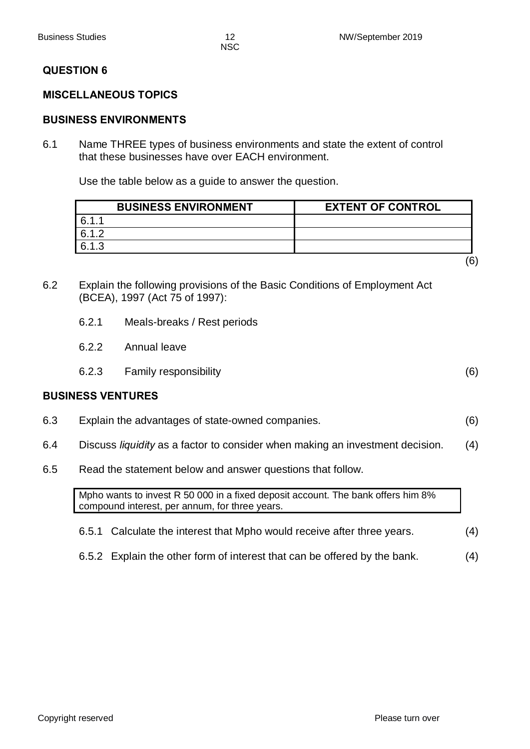#### **MISCELLANEOUS TOPICS**

#### **BUSINESS ENVIRONMENTS**

6.1 Name THREE types of business environments and state the extent of control that these businesses have over EACH environment.

Use the table below as a guide to answer the question.

| <b>BUSINESS ENVIRONMENT</b> | <b>EXTENT OF CONTROL</b> |
|-----------------------------|--------------------------|
| G 1 1                       |                          |
| 612                         |                          |
| 6.1.3                       |                          |
|                             |                          |

- 6.2 Explain the following provisions of the Basic Conditions of Employment Act (BCEA), 1997 (Act 75 of 1997):
	- 6.2.1 Meals-breaks / Rest periods
	- 6.2.2 Annual leave
	- 6.2.3 Family responsibility (6)

#### **BUSINESS VENTURES**

- 6.3 Explain the advantages of state-owned companies. (6)
- 6.4 Discuss *liquidity* as a factor to consider when making an investment decision. (4)
- 6.5 Read the statement below and answer questions that follow.

Mpho wants to invest R 50 000 in a fixed deposit account. The bank offers him 8% compound interest, per annum, for three years.

- 6.5.1 Calculate the interest that Mpho would receive after three years. (4)
- 6.5.2 Explain the other form of interest that can be offered by the bank. (4)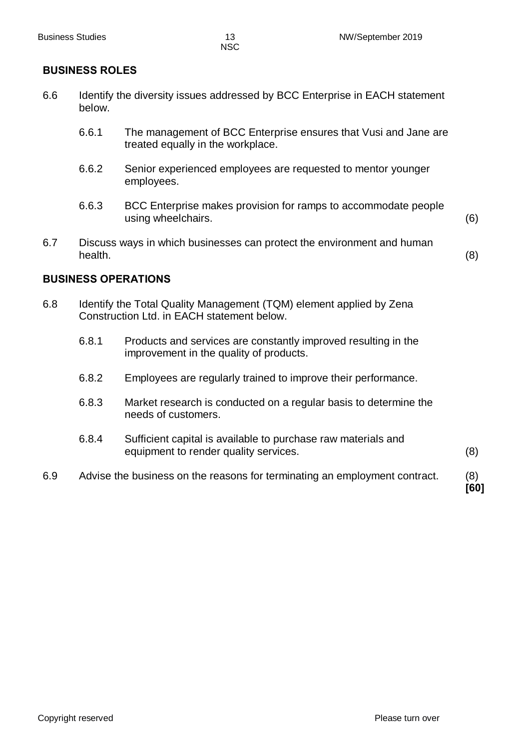#### **BUSINESS ROLES**

- 6.6 Identify the diversity issues addressed by BCC Enterprise in EACH statement below.
	- 6.6.1 The management of BCC Enterprise ensures that Vusi and Jane are treated equally in the workplace.
	- 6.6.2 Senior experienced employees are requested to mentor younger employees.
	- 6.6.3 BCC Enterprise makes provision for ramps to accommodate people using wheelchairs. (6)
- 6.7 Discuss ways in which businesses can protect the environment and human health. (8)

#### **BUSINESS OPERATIONS**

- 6.8 Identify the Total Quality Management (TQM) element applied by Zena Construction Ltd. in EACH statement below.
	- 6.8.1 Products and services are constantly improved resulting in the improvement in the quality of products.
	- 6.8.2 Employees are regularly trained to improve their performance.
	- 6.8.3 Market research is conducted on a regular basis to determine the needs of customers.
	- 6.8.4 Sufficient capital is available to purchase raw materials and equipment to render quality services. (8)
- 6.9 Advise the business on the reasons for terminating an employment contract. (8)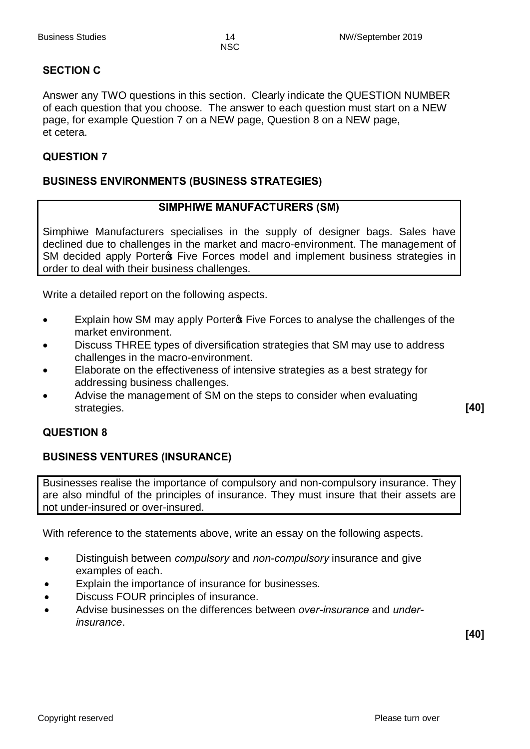#### **SECTION C**

Answer any TWO questions in this section. Clearly indicate the QUESTION NUMBER of each question that you choose. The answer to each question must start on a NEW page, for example Question 7 on a NEW page, Question 8 on a NEW page, et cetera.

#### **QUESTION 7**

#### **BUSINESS ENVIRONMENTS (BUSINESS STRATEGIES)**

#### **SIMPHIWE MANUFACTURERS (SM)**

Simphiwe Manufacturers specialises in the supply of designer bags. Sales have declined due to challenges in the market and macro-environment. The management of SM decided apply Porteros Five Forces model and implement business strategies in order to deal with their business challenges.

Write a detailed report on the following aspects.

- Explain how SM may apply Porter **Five Forces to analyse the challenges of the** market environment.
- Discuss THREE types of diversification strategies that SM may use to address challenges in the macro-environment.
- Elaborate on the effectiveness of intensive strategies as a best strategy for addressing business challenges.
- Advise the management of SM on the steps to consider when evaluating strategies. **[40]**

#### **QUESTION 8**

#### **BUSINESS VENTURES (INSURANCE)**

Businesses realise the importance of compulsory and non-compulsory insurance. They are also mindful of the principles of insurance. They must insure that their assets are not under-insured or over-insured.

With reference to the statements above, write an essay on the following aspects.

- · Distinguish between *compulsory* and *non-compulsory* insurance and give examples of each.
- Explain the importance of insurance for businesses.
- Discuss FOUR principles of insurance.
- · Advise businesses on the differences between *over-insurance* and *underinsurance*.

**[40]**